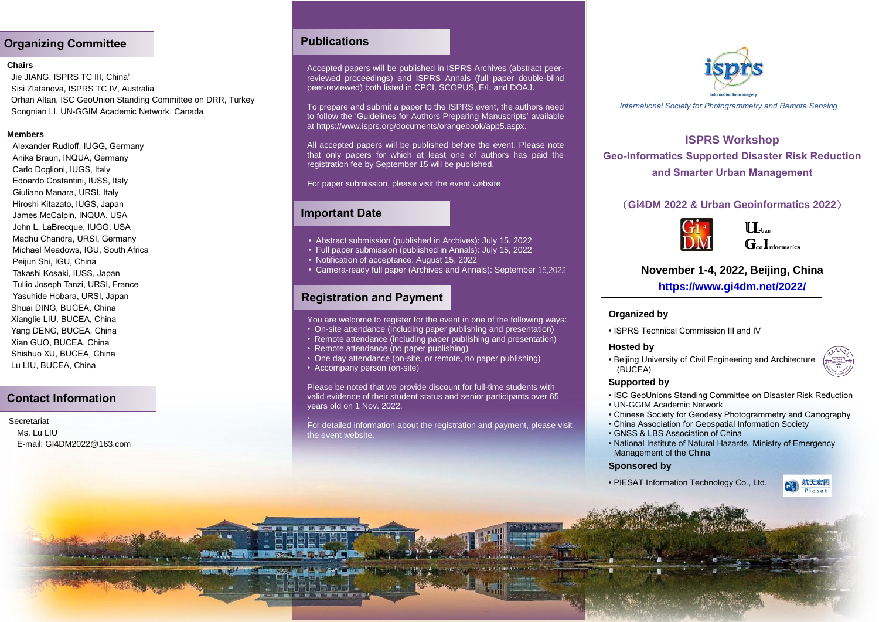## **Organizing Committee**

### **Chairs**

Jie JIANG, ISPRS TC III, China' Sisi Zlatanova, ISPRS TC IV, Australia Orhan Altan, ISC GeoUnion Standing Committee on DRR, Turkey Songnian LI, UN-GGIM Academic Network, Canada

### **Members**

[Alexander Rudloff, IUGG, Germany](http://iscgdrr.com/plus/view.php?aid=12) [Anika Braun, INQUA, Germany](http://iscgdrr.com/plus/view.php?aid=39) [Carlo Doglioni, IUGS, Italy](http://iscgdrr.com/plus/view.php?aid=50) [Edoardo Costantini, IUSS, Italy](http://iscgdrr.com/plus/view.php?aid=40) [Giuliano Manara, URSI, Italy](http://iscgdrr.com/plus/view.php?aid=56) [Hiroshi Kitazato, IUGS, Japan](http://iscgdrr.com/plus/view.php?aid=41) [James McCalpin, INQUA, USA](http://iscgdrr.com/plus/view.php?aid=47) [John L. LaBrecque, IUGG, USA](http://iscgdrr.com/plus/view.php?aid=14) [Madhu Chandra, URSI, Germany](http://iscgdrr.com/plus/view.php?aid=20) [Michael Meadows, IGU, South Africa](http://iscgdrr.com/plus/view.php?aid=55) [Peijun Shi, IGU, China](http://iscgdrr.com/plus/view.php?aid=24) [Takashi Kosaki, IUSS, Japan](http://iscgdrr.com/plus/view.php?aid=46) [Tullio Joseph Tanzi, URSI, France](http://iscgdrr.com/plus/view.php?aid=25) [Yasuhide Hobara, URSI, Japan](http://iscgdrr.com/plus/view.php?aid=54) Shuai DING, BUCEA, China Xianglie LIU, BUCEA, China Yang DENG, BUCEA, China Xian GUO, BUCEA, China Shishuo XU, BUCEA, China Lu LIU, BUCEA, China

## **Contact Information**

**Secretariat** Ms. Lu LILL E-mail: GI4DM2022@163.com

## **Publications**

Accepted papers will be published in ISPRS Archives (abstract peerreviewed proceedings) and ISPRS Annals (full paper double-blind peer-reviewed) both listed in CPCI, SCOPUS, E/I, and DOAJ.

To prepare and submit a paper to the ISPRS event, the authors need to follow the 'Guidelines for Authors Preparing Manuscripts' available at https://www.isprs.org/documents/orangebook/app5.aspx.

All accepted papers will be published before the event. Please note that only papers for which at least one of authors has paid the registration fee by September 15 will be published.

For paper submission, please visit the event website

### **Important Date**

- Abstract submission (published in Archives): July 15, 2022
- Full paper submission (published in Annals): July 15, 2022
- Notification of acceptance: August 15, 2022
- Camera-ready full paper (Archives and Annals): September 15,2022

# **Registration and Payment**

You are welcome to register for the event in one of the following ways:

- On-site attendance (including paper publishing and presentation)
- Remote attendance (including paper publishing and presentation)
- Remote attendance (no paper publishing)
- One day attendance (on-site, or remote, no paper publishing)
- Accompany person (on-site)

Please be noted that we provide discount for full-time students with valid evidence of their student status and senior participants over 65 years old on 1 Nov. 2022.

For detailed information about the registration and payment, please visit the event website.



*International Society for Photogrammetry and Remote Sensing*

# **ISPRS Workshop Geo-Informatics Supported Disaster Risk Reduction and Smarter Urban Management**

### (**Gi4DM 2022 & Urban Geoinformatics 2022**)



 $\prod_{\text{max}}$  $G_{\text{co}}I_{\text{nformatics}}$ 

# **November 1-4, 2022, Beijing, China**

**https://www.gi4dm.net/2022/**

### **Organized by**

• ISPRS Technical Commission III and IV

### **Hosted by**

• Beijing University of Civil Engineering and Architecture (BUCEA)



- ISC GeoUnions Standing Committee on Disaster Risk Reduction
- UN-GGIM Academic Network
- Chinese Society for Geodesy Photogrammetry and Cartography
- China Association for Geospatial Information Society
- GNSS & LBS Association of China
- National Institute of Natural Hazards, Ministry of Emergency Management of the China

### **Sponsored by**

• PIESAT Information Technology Co., Ltd.